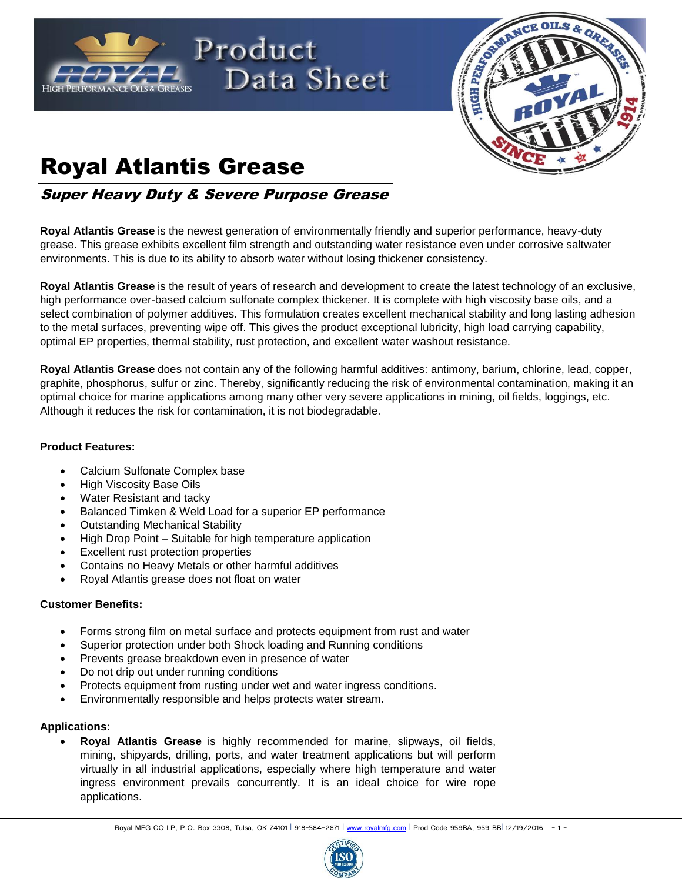



# Royal Atlantis Grease

Super Heavy Duty & Severe Purpose Grease

**Royal Atlantis Grease** is the newest generation of environmentally friendly and superior performance, heavy-duty grease. This grease exhibits excellent film strength and outstanding water resistance even under corrosive saltwater environments. This is due to its ability to absorb water without losing thickener consistency.

**Royal Atlantis Grease** is the result of years of research and development to create the latest technology of an exclusive, high performance over-based calcium sulfonate complex thickener. It is complete with high viscosity base oils, and a select combination of polymer additives. This formulation creates excellent mechanical stability and long lasting adhesion to the metal surfaces, preventing wipe off. This gives the product exceptional lubricity, high load carrying capability, optimal EP properties, thermal stability, rust protection, and excellent water washout resistance.

**Royal Atlantis Grease** does not contain any of the following harmful additives: antimony, barium, chlorine, lead, copper, graphite, phosphorus, sulfur or zinc. Thereby, significantly reducing the risk of environmental contamination, making it an optimal choice for marine applications among many other very severe applications in mining, oil fields, loggings, etc. Although it reduces the risk for contamination, it is not biodegradable.

### **Product Features:**

- Calcium Sulfonate Complex base
- High Viscosity Base Oils
- Water Resistant and tacky
- Balanced Timken & Weld Load for a superior EP performance
- Outstanding Mechanical Stability
- High Drop Point Suitable for high temperature application
- Excellent rust protection properties
- Contains no Heavy Metals or other harmful additives
- Royal Atlantis grease does not float on water

#### **Customer Benefits:**

- Forms strong film on metal surface and protects equipment from rust and water
- Superior protection under both Shock loading and Running conditions
- Prevents grease breakdown even in presence of water
- Do not drip out under running conditions
- Protects equipment from rusting under wet and water ingress conditions.
- Environmentally responsible and helps protects water stream.

#### **Applications:**

 **Royal Atlantis Grease** is highly recommended for marine, slipways, oil fields, mining, shipyards, drilling, ports, and water treatment applications but will perform virtually in all industrial applications, especially where high temperature and water ingress environment prevails concurrently. It is an ideal choice for wire rope applications.